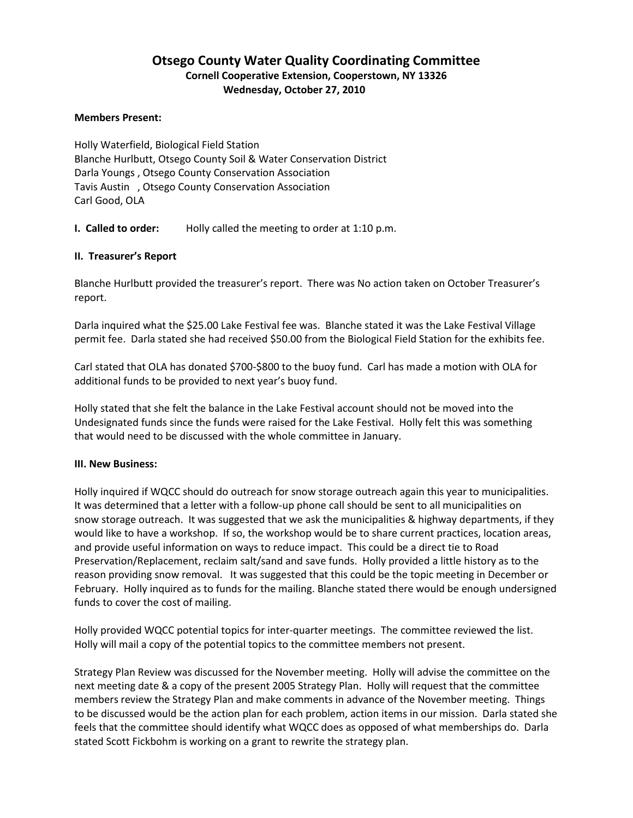# **Otsego County Water Quality Coordinating Committee Cornell Cooperative Extension, Cooperstown, NY 13326 Wednesday, October 27, 2010**

#### **Members Present:**

Holly Waterfield, Biological Field Station Blanche Hurlbutt, Otsego County Soil & Water Conservation District Darla Youngs , Otsego County Conservation Association Tavis Austin , Otsego County Conservation Association Carl Good, OLA

**I. Called to order:** Holly called the meeting to order at 1:10 p.m.

### **II. Treasurer's Report**

Blanche Hurlbutt provided the treasurer's report. There was No action taken on October Treasurer's report.

Darla inquired what the \$25.00 Lake Festival fee was. Blanche stated it was the Lake Festival Village permit fee. Darla stated she had received \$50.00 from the Biological Field Station for the exhibits fee.

Carl stated that OLA has donated \$700-\$800 to the buoy fund. Carl has made a motion with OLA for additional funds to be provided to next year's buoy fund.

Holly stated that she felt the balance in the Lake Festival account should not be moved into the Undesignated funds since the funds were raised for the Lake Festival. Holly felt this was something that would need to be discussed with the whole committee in January.

### **III. New Business:**

Holly inquired if WQCC should do outreach for snow storage outreach again this year to municipalities. It was determined that a letter with a follow-up phone call should be sent to all municipalities on snow storage outreach. It was suggested that we ask the municipalities & highway departments, if they would like to have a workshop. If so, the workshop would be to share current practices, location areas, and provide useful information on ways to reduce impact. This could be a direct tie to Road Preservation/Replacement, reclaim salt/sand and save funds. Holly provided a little history as to the reason providing snow removal. It was suggested that this could be the topic meeting in December or February. Holly inquired as to funds for the mailing. Blanche stated there would be enough undersigned funds to cover the cost of mailing.

Holly provided WQCC potential topics for inter-quarter meetings. The committee reviewed the list. Holly will mail a copy of the potential topics to the committee members not present.

Strategy Plan Review was discussed for the November meeting. Holly will advise the committee on the next meeting date & a copy of the present 2005 Strategy Plan. Holly will request that the committee members review the Strategy Plan and make comments in advance of the November meeting. Things to be discussed would be the action plan for each problem, action items in our mission. Darla stated she feels that the committee should identify what WQCC does as opposed of what memberships do. Darla stated Scott Fickbohm is working on a grant to rewrite the strategy plan.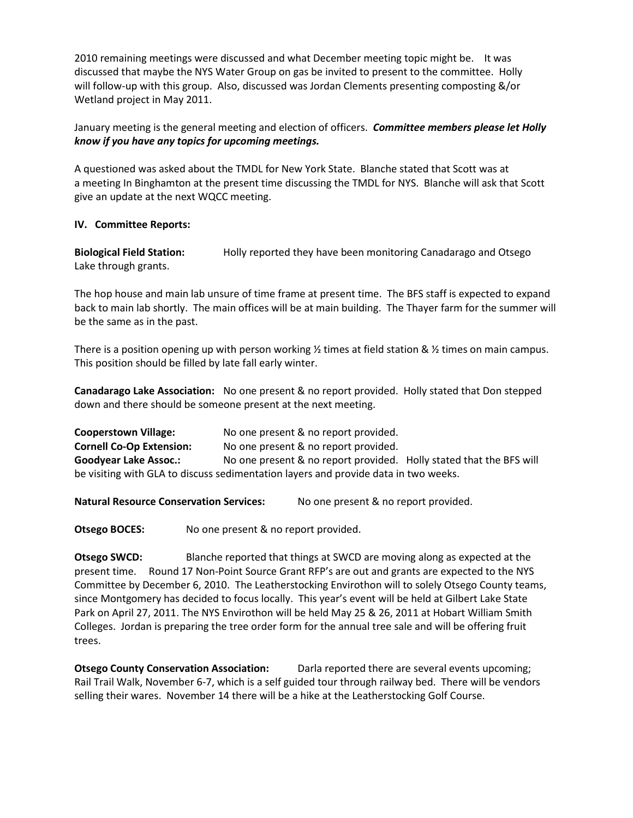2010 remaining meetings were discussed and what December meeting topic might be. It was discussed that maybe the NYS Water Group on gas be invited to present to the committee. Holly will follow-up with this group. Also, discussed was Jordan Clements presenting composting &/or Wetland project in May 2011.

January meeting is the general meeting and election of officers. *Committee members please let Holly know if you have any topics for upcoming meetings.*

A questioned was asked about the TMDL for New York State. Blanche stated that Scott was at a meeting In Binghamton at the present time discussing the TMDL for NYS. Blanche will ask that Scott give an update at the next WQCC meeting.

## **IV. Committee Reports:**

**Biological Field Station:** Holly reported they have been monitoring Canadarago and Otsego Lake through grants.

The hop house and main lab unsure of time frame at present time. The BFS staff is expected to expand back to main lab shortly. The main offices will be at main building. The Thayer farm for the summer will be the same as in the past.

There is a position opening up with person working  $\frac{1}{2}$  times at field station &  $\frac{1}{2}$  times on main campus. This position should be filled by late fall early winter.

**Canadarago Lake Association:** No one present & no report provided. Holly stated that Don stepped down and there should be someone present at the next meeting.

**Cooperstown Village:** No one present & no report provided. **Cornell Co-Op Extension:** No one present & no report provided. **Goodyear Lake Assoc.:** No one present & no report provided. Holly stated that the BFS will be visiting with GLA to discuss sedimentation layers and provide data in two weeks.

**Natural Resource Conservation Services:** No one present & no report provided.

**Otsego BOCES:** No one present & no report provided.

**Otsego SWCD:** Blanche reported that things at SWCD are moving along as expected at the present time. Round 17 Non-Point Source Grant RFP's are out and grants are expected to the NYS Committee by December 6, 2010. The Leatherstocking Envirothon will to solely Otsego County teams, since Montgomery has decided to focus locally. This year's event will be held at Gilbert Lake State Park on April 27, 2011. The NYS Envirothon will be held May 25 & 26, 2011 at Hobart William Smith Colleges. Jordan is preparing the tree order form for the annual tree sale and will be offering fruit trees.

**Otsego County Conservation Association:** Darla reported there are several events upcoming; Rail Trail Walk, November 6-7, which is a self guided tour through railway bed. There will be vendors selling their wares. November 14 there will be a hike at the Leatherstocking Golf Course.